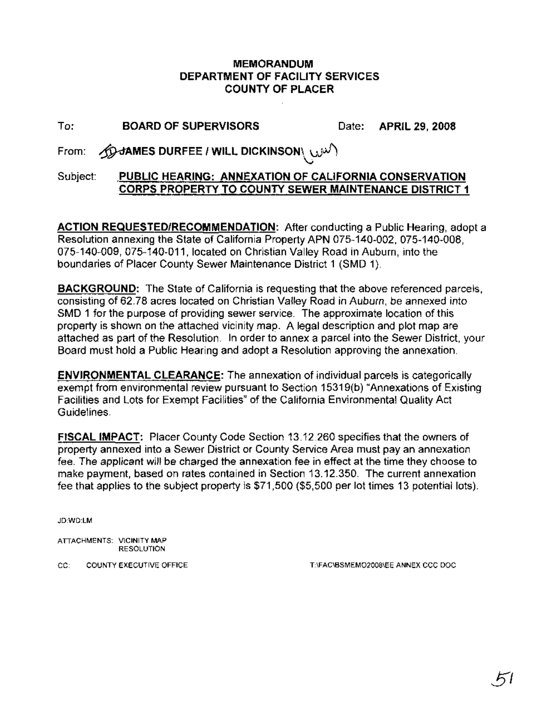### MEMORANDUM DEPARTMENT OF FACILITY SERVICES COUNTY OF PLACER

# To: BOARD OF SUPERVISORS Date: APRIL 29, 2008

 $\mathsf{From}\colon=\bigoplus \mathsf{dAMES}\ \mathsf{DUREFEE}$  / WILL DICKINSON $\setminus\cup\hspace{-3pt}\cup\hspace{-3pt}\cup\hspace{-3pt}\cup\hspace{-3pt}\cup\hspace{-3pt}\cup\hspace{-3pt}\cup\hspace{-3pt}\cup\hspace{-3pt}\cup\hspace{-3pt}\cup\hspace{-3pt}\cup\hspace{-3pt}\cup\hspace{-3pt}\cup\hspace{-3pt}\cup\hspace{-3pt}\cup\hspace{-3pt}\cup\hspace{-3pt}\cup\hspace{-3pt}\cup\hspace{-3pt}\cup\hspace{-3pt}\cup\hspace{-3pt}\cup\hspace{-3pt}\$  $\bigcirc$ 

## Subject: PUBLIC HEARING: ANNEXATION OF CALIFORNIA CONSERVATION CORPS PROPERTY TO COUNTY SEWER MAINTENANCE DISTRICT 1

ACTION REQUESTED/RECOMMENDATION: After conducting a Public Hearing, adopt a Resolution annexing the State of California Property APN 075-140-002,075-140-008, 075-140-009, 075-140-011, located on Christian Valley Road in Auburn, into the boundaries of Placer County Sewer Maintenance District 1 (SMD 1).

BACKGROUND: The State of California is requesting that the above referenced parcels, consisting of 62.78 acres located on Christian Valley Road in Auburn, be annexed into SMD 1 for the purpose of providing sewer service. The approximate location of this property is shown on the attached vicinity map. A legal description and plot map are attached as part of the Resolution. In order to annex a parcel into the Sewer District, your Board must hold a Public Hearing and adopt a Resolution approving the annexation.

ENVIRONMENTAL CLEARANCE: The annexation of individual parcels is categorically exempt from environmental review pursuant to Section 15319(b) "Annexations of Existing Facilities and Lots for Exempt Facilities" of the California Environmental Quality Act Guidelines.

FISCAL IMPACT: Placer County Code Section 13.12.260 specifies that the owners of property annexed into a Sewer District or County Service Area must pay an annexation fee. The applicant will be charged the annexation fee in effect at the time they choose to make payment, based on rates contained in Section 13.12.350. The current annexation fee that applies to the subject property is \$71,500 (\$5,500 per lot times 13 potential lots).

JD:WD:LM

ATTACHMENTS: VICINITY MAP RESOLUTION

CC: COUNTY EXECUTIVE OFFICE THE THEAC\BSMEM02008\EE ANNEX CCC DOC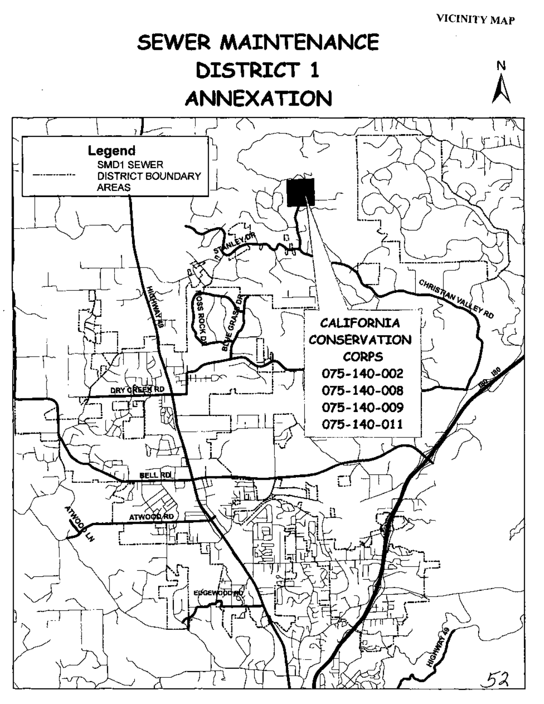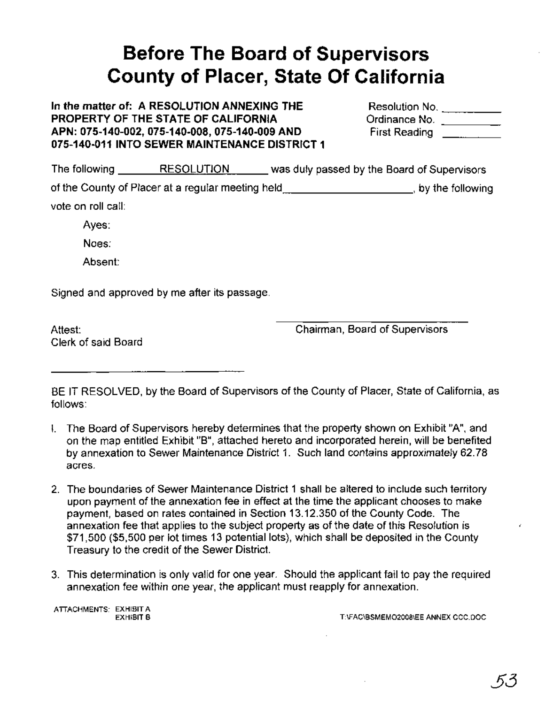# **Before The Board of Supervisors County of Placer, State Of California**

**In the matter of: A RESOLUTION ANNEXING THE PROPERTY OF THE STATE OF CALIFORNIA APN: 075-140-002, 075-140-008, 075-140-009 AND 075-140-011 INTO SEWER MAINTENANCE DISTRICT 1**

| Resolution No.       |  |
|----------------------|--|
| Ordinance No.        |  |
| <b>First Reading</b> |  |

The following RESOLUTION was dUly passed by the Board of Supervisors of the County of Placer at a regular meeting held **contain the following**, by the following vote on roll call:

Ayes:

Noes:

Absent:

Signed and approved by me after its passage.

Attest: Clerk of said Board Chairman, Board of Supervisors

BE IT RESOLVED, by the Board of Supervisors of the County of Placer, State of California, as follows:

- I. The Board of Supervisors hereby determines that the property shown on Exhibit "A", and on the map entitled Exhibit "B", attached hereto and incorporated herein, will be benefited by annexation to Sewer Maintenance District 1. Such land contains approximately 62.78 acres.
- 2. The boundaries of Sewer Maintenance District 1 shall be altered to include such territory upon payment of the annexation fee in effect at the time the applicant chooses to make payment, based on rates contained in Section 13.12.350 of the County Code. The annexation fee that applies to the subject property as of the date of this Resolution is \$71,500 (\$5,500 per lot times 13 potential lots), which shall be deposited in the County Treasury to the credit of the Sewer District.
- 3. This determination is only valid for one year. Should the applicant fail to pay the required annexation fee within one year, the applicant must reapply for annexation.

ATIACHMENTS: EXHIBIT A

EXHIBIT B T:\FAC\BSMEMO2008\EE ANNEX CCC.DOC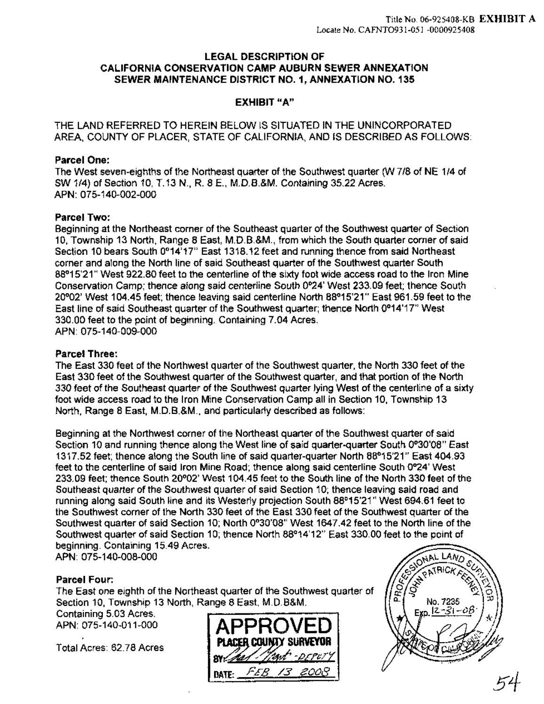#### LEGAL DESCRIPTION OF CALIFORNIA CONSERVATION CAMP AUBURN SEWER ANNEXATION SEWER MAINTENANCE DISTRICT NO.1, ANNEXATION NO. 135

#### EXHIBIT "A"

THE LAND REFERRED TO HEREIN BELOW IS SITUATED IN THE UNINCORPORATED AREA, COUNTY OF PLACER, STATE OF CALIFORNIA, AND IS DESCRIBED AS FOLLOWS:

#### Parcel One:

The West seven-eighths of the Northeast quarter of the Southwest quarter (W 7/8 of NE 1/4 of SW 1/4) of Section 10, T.13 N., R. 8 E., M.D.B.&M. Containing 35.22 Acres. APN: 075-140-002-000

#### Parcel Two:

Beginning at the Northeast corner of the Southeast guarter of the Southwest quarter of Section 10, Township 13 North, Range 8 East, M.D.B.&M., from which the South quarter corner of said Section 10 bears South 0°14'17" East 1318.12 feet and running thence from said Northeast corner and along the North line of said Southeast quarter of the Southwest quarter South 88°15'21" West 922.80 feet to the centerline ofthe sixty foot wide access road to the Iron Mine Conservation Camp; thence along said centerline South 0°24' West 233.09 feet; thence South 20°02' West 104.45 feet; thence leaving said. centerline North 88°15'21" East 961.59 feet to the East line of said Southeast quarter of the Southwest quarter; thence North 0°14'17" West 330.00 feet to the point of beginning. Containing 7.04 Acres. APN: 075-140-009-000

#### Parcel Three:

The East 330 feet of the Northwest quarter of the Southwest quarter, the North 330 feet of the East 330 feet of the Southwest quarter of the Southwest quarter, and that portion of the North 330 feet of the Southeast quarter of the Southwest quarter lying West of the centerline of a sixty foot wide access road to the Iron Mine Conservation Camp all in Section 10, Township 13 North, Range 8 East, M.D.B.&M., and particularly described as follows:

Beginning at the Northwest corner of the Northeast quarter of the Southwest quarter of said Section 10 and running thence along the West line of said quarter-quarter South 0°30'08" East 1317.52 feet; thence along the South line of said quarter-quarter North 88°15'21" East 404.93 feet to the centerline of said Iron Mine Road; thence along said centerline South 0°24' West 233.09 feet; thence South 20°02' West 104.45 feet to the South line of the North 330 feet of the Southeast quarter of the Southwest quarter of said Section 10; thence leaving said road and running along said South line and its Westerly projection South 88°15'21" West 694.61 feet to the Southwest corner of the North 330 feet of the East 330 feet of the Southwest quarter of the Southwest quarter of said Section 10; North 0°30'08" West 1647.42 feet to the North line of the Southwest quarter of said Section 10; thence North 88°14'12" East 330.00 feet to the point of beginning. Containing 15.49 Acres.

APN: 075-140-008-000

#### Parcel Four:

The East one eighth of the Northeast quarter of the Southwest quarter of Section 10, Township 13 North, Range 8 East, M.D.B&M.

Containing 5.03 Acres. APN: 075-140-011-000 .

Total Acres: 62.78 Acres



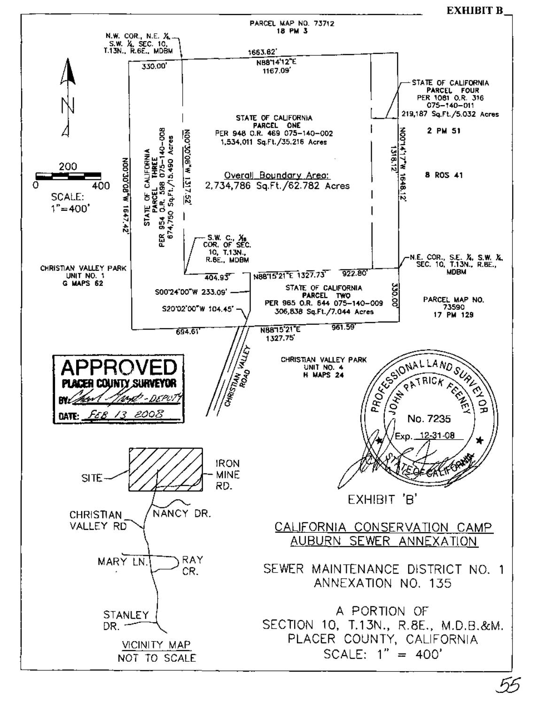EXHIBIT B